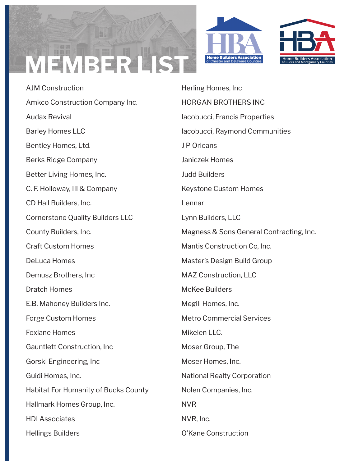## **MEMBER LIST**



AJM Construction Amkco Construction Company Inc. Audax Revival Barley Homes LLC Bentley Homes, Ltd. Berks Ridge Company Better Living Homes, Inc. C. F. Holloway, III & Company CD Hall Builders, Inc. Cornerstone Quality Builders LLC County Builders, Inc. Craft Custom Homes DeLuca Homes Demusz Brothers, Inc Dratch Homes E.B. Mahoney Builders Inc. Forge Custom Homes Foxlane Homes Gauntlett Construction, Inc Gorski Engineering, Inc Guidi Homes, Inc. Habitat For Humanity of Bucks County Hallmark Homes Group, Inc. HDI Associates Hellings Builders

Herling Homes, Inc HORGAN BROTHERS INC Iacobucci, Francis Properties Iacobucci, Raymond Communities J P Orleans Janiczek Homes Judd Builders Keystone Custom Homes Lennar Lynn Builders, LLC Magness & Sons General Contracting, Inc. Mantis Construction Co, Inc. Master's Design Build Group MAZ Construction, LLC McKee Builders Megill Homes, Inc. Metro Commercial Services Mikelen LLC. Moser Group, The Moser Homes, Inc. National Realty Corporation Nolen Companies, Inc. NVR NVR, Inc. O'Kane Construction